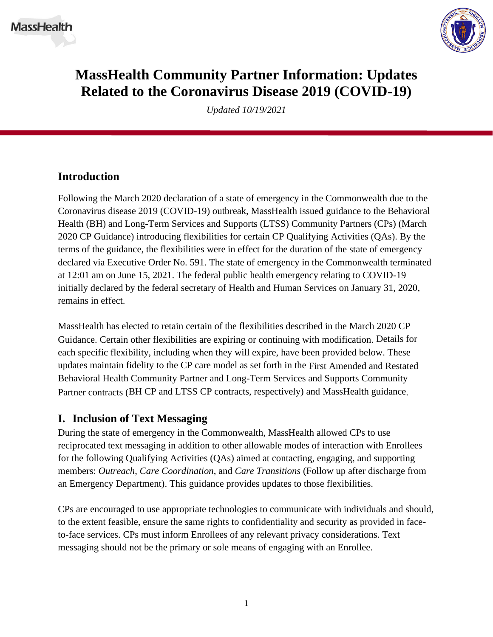

# **MassHealth Community Partner Information: Updates Related to the Coronavirus Disease 2019 (COVID-19)**

*Updated 10/19/2021*

## **Introduction**

Following the March 2020 declaration of a state of emergency in the Commonwealth due to the Coronavirus disease 2019 (COVID-19) outbreak, MassHealth issued guidance to the Behavioral Health (BH) and Long-Term Services and Supports (LTSS) Community Partners (CPs) (March 2020 CP Guidance) introducing flexibilities for certain CP Qualifying Activities (QAs). By the terms of the guidance, the flexibilities were in effect for the duration of the state of emergency declared via Executive Order No. 591. The state of emergency in the Commonwealth terminated at 12:01 am on June 15, 2021. The federal public health emergency relating to COVID-19 initially declared by the federal secretary of Health and Human Services on January 31, 2020, remains in effect.

MassHealth has elected to retain certain of the flexibilities described in the March 2020 CP Guidance. Certain other flexibilities are expiring or continuing with modification. Details for each specific flexibility, including when they will expire, have been provided below. These updates maintain fidelity to the CP care model as set forth in the First Amended and Restated Behavioral Health Community Partner and Long-Term Services and Supports Community Partner contracts (BH CP and LTSS CP contracts, respectively) and MassHealth guidance.

#### **I. Inclusion of Text Messaging**

During the state of emergency in the Commonwealth, MassHealth allowed CPs to use reciprocated text messaging in addition to other allowable modes of interaction with Enrollees for the following Qualifying Activities (QAs) aimed at contacting, engaging, and supporting members: *Outreach*, *Care Coordination*, and *Care Transitions* (Follow up after discharge from an Emergency Department). This guidance provides updates to those flexibilities.

CPs are encouraged to use appropriate technologies to communicate with individuals and should, to the extent feasible, ensure the same rights to confidentiality and security as provided in faceto-face services. CPs must inform Enrollees of any relevant privacy considerations. Text messaging should not be the primary or sole means of engaging with an Enrollee.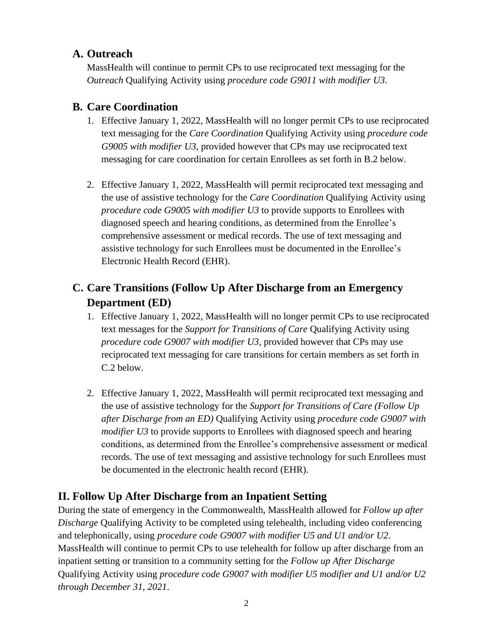### **A. Outreach**

MassHealth will continue to permit CPs to use reciprocated text messaging for the *Outreach* Qualifying Activity using *procedure code G9011 with modifier U3*.

## **B. Care Coordination**

- 1. Effective January 1, 2022, MassHealth will no longer permit CPs to use reciprocated text messaging for the *Care Coordination* Qualifying Activity using *procedure code G9005 with modifier U3*, provided however that CPs may use reciprocated text messaging for care coordination for certain Enrollees as set forth in B.2 below.
- 2. Effective January 1, 2022, MassHealth will permit reciprocated text messaging and the use of assistive technology for the *Care Coordination* Qualifying Activity using *procedure code G9005 with modifier U3* to provide supports to Enrollees with diagnosed speech and hearing conditions, as determined from the Enrollee's comprehensive assessment or medical records. The use of text messaging and assistive technology for such Enrollees must be documented in the Enrollee's Electronic Health Record (EHR).

# **C. Care Transitions (Follow Up After Discharge from an Emergency Department (ED)**

- 1. Effective January 1, 2022, MassHealth will no longer permit CPs to use reciprocated text messages for the *Support for Transitions of Care* Qualifying Activity using *procedure code G9007 with modifier U3*, provided however that CPs may use reciprocated text messaging for care transitions for certain members as set forth in C.2 below.
- 2. Effective January 1, 2022, MassHealth will permit reciprocated text messaging and the use of assistive technology for the *Support for Transitions of Care (Follow Up after Discharge from an ED)* Qualifying Activity using *procedure code G9007 with modifier U3* to provide supports to Enrollees with diagnosed speech and hearing conditions, as determined from the Enrollee's comprehensive assessment or medical records. The use of text messaging and assistive technology for such Enrollees must be documented in the electronic health record (EHR).

# **II. Follow Up After Discharge from an Inpatient Setting**

During the state of emergency in the Commonwealth, MassHealth allowed for *Follow up after Discharge* Qualifying Activity to be completed using telehealth, including video conferencing and telephonically, using *procedure code G9007 with modifier U5 and U1 and/or U2*. MassHealth will continue to permit CPs to use telehealth for follow up after discharge from an inpatient setting or transition to a community setting for the *Follow up After Discharge*  Qualifying Activity using *procedure code G9007 with modifier U5 modifier and U1 and/or U2 through December 31, 2021*.